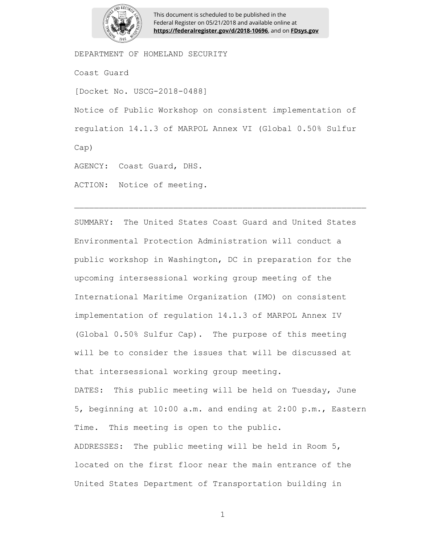

This document is scheduled to be published in the Federal Register on 05/21/2018 and available online at **https://federalregister.gov/d/2018-10696**, and on **FDsys.gov**

DEPARTMENT OF HOMELAND SECURITY

Coast Guard

[Docket No. USCG-2018-0488]

Notice of Public Workshop on consistent implementation of regulation 14.1.3 of MARPOL Annex VI (Global 0.50% Sulfur Cap)

AGENCY: Coast Guard, DHS.

ACTION: Notice of meeting.

SUMMARY: The United States Coast Guard and United States Environmental Protection Administration will conduct a public workshop in Washington, DC in preparation for the upcoming intersessional working group meeting of the International Maritime Organization (IMO) on consistent implementation of regulation 14.1.3 of MARPOL Annex IV (Global 0.50% Sulfur Cap). The purpose of this meeting will be to consider the issues that will be discussed at that intersessional working group meeting. DATES: This public meeting will be held on Tuesday, June 5, beginning at 10:00 a.m. and ending at 2:00 p.m., Eastern Time. This meeting is open to the public. ADDRESSES: The public meeting will be held in Room 5, located on the first floor near the main entrance of the United States Department of Transportation building in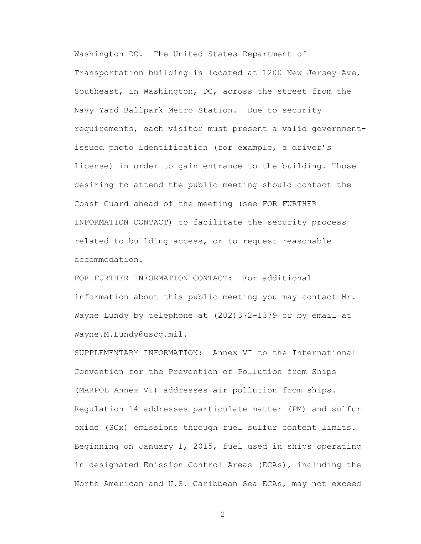Washington DC. The United States Department of Transportation building is located at 1200 New Jersey Ave, Southeast, in Washington, DC, across the street from the Navy Yard–Ballpark Metro Station. Due to security requirements, each visitor must present a valid governmentissued photo identification (for example, a driver's license) in order to gain entrance to the building. Those desiring to attend the public meeting should contact the Coast Guard ahead of the meeting (see FOR FURTHER INFORMATION CONTACT) to facilitate the security process related to building access, or to request reasonable accommodation.

FOR FURTHER INFORMATION CONTACT: For additional information about this public meeting you may contact Mr. Wayne Lundy by telephone at (202)372-1379 or by email at Wayne.M.Lundy@uscg.mil.

SUPPLEMENTARY INFORMATION: Annex VI to the International Convention for the Prevention of Pollution from Ships (MARPOL Annex VI) addresses air pollution from ships. Regulation 14 addresses particulate matter (PM) and sulfur oxide (SOx) emissions through fuel sulfur content limits. Beginning on January 1, 2015, fuel used in ships operating in designated Emission Control Areas (ECAs), including the North American and U.S. Caribbean Sea ECAs, may not exceed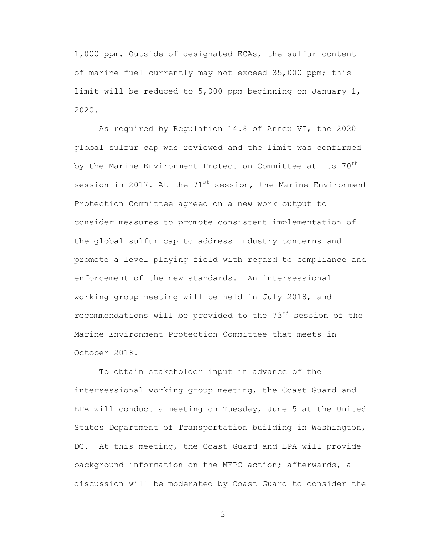1,000 ppm. Outside of designated ECAs, the sulfur content of marine fuel currently may not exceed 35,000 ppm; this limit will be reduced to 5,000 ppm beginning on January 1, 2020.

As required by Regulation 14.8 of Annex VI, the 2020 global sulfur cap was reviewed and the limit was confirmed by the Marine Environment Protection Committee at its  $70<sup>th</sup>$ session in 2017. At the  $71^{st}$  session, the Marine Environment Protection Committee agreed on a new work output to consider measures to promote consistent implementation of the global sulfur cap to address industry concerns and promote a level playing field with regard to compliance and enforcement of the new standards. An intersessional working group meeting will be held in July 2018, and recommendations will be provided to the 73<sup>rd</sup> session of the Marine Environment Protection Committee that meets in October 2018.

To obtain stakeholder input in advance of the intersessional working group meeting, the Coast Guard and EPA will conduct a meeting on Tuesday, June 5 at the United States Department of Transportation building in Washington, DC. At this meeting, the Coast Guard and EPA will provide background information on the MEPC action; afterwards, a discussion will be moderated by Coast Guard to consider the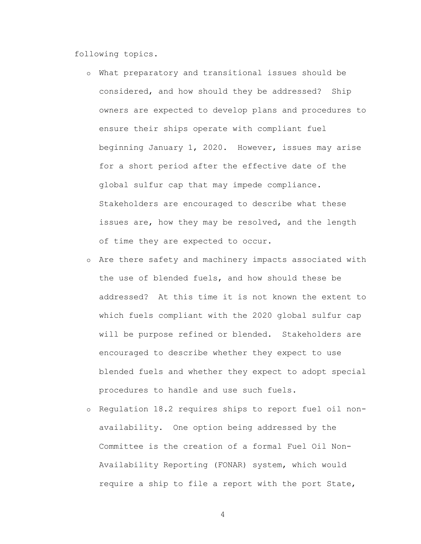following topics.

- o What preparatory and transitional issues should be considered, and how should they be addressed? Ship owners are expected to develop plans and procedures to ensure their ships operate with compliant fuel beginning January 1, 2020. However, issues may arise for a short period after the effective date of the global sulfur cap that may impede compliance. Stakeholders are encouraged to describe what these issues are, how they may be resolved, and the length of time they are expected to occur.
- o Are there safety and machinery impacts associated with the use of blended fuels, and how should these be addressed? At this time it is not known the extent to which fuels compliant with the 2020 global sulfur cap will be purpose refined or blended. Stakeholders are encouraged to describe whether they expect to use blended fuels and whether they expect to adopt special procedures to handle and use such fuels.
- o Regulation 18.2 requires ships to report fuel oil nonavailability. One option being addressed by the Committee is the creation of a formal Fuel Oil Non-Availability Reporting (FONAR) system, which would require a ship to file a report with the port State,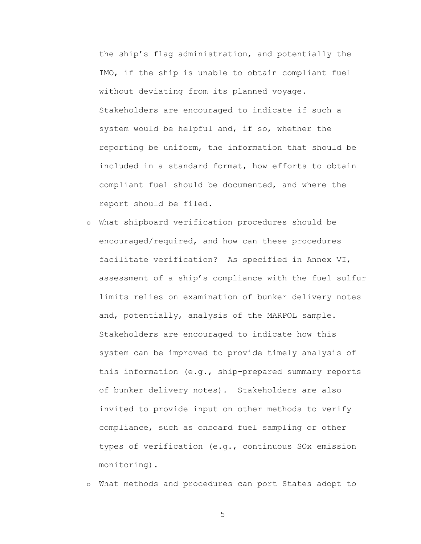the ship's flag administration, and potentially the IMO, if the ship is unable to obtain compliant fuel without deviating from its planned voyage. Stakeholders are encouraged to indicate if such a system would be helpful and, if so, whether the reporting be uniform, the information that should be included in a standard format, how efforts to obtain compliant fuel should be documented, and where the report should be filed.

o What shipboard verification procedures should be encouraged/required, and how can these procedures facilitate verification? As specified in Annex VI, assessment of a ship's compliance with the fuel sulfur limits relies on examination of bunker delivery notes and, potentially, analysis of the MARPOL sample. Stakeholders are encouraged to indicate how this system can be improved to provide timely analysis of this information (e.g., ship-prepared summary reports of bunker delivery notes). Stakeholders are also invited to provide input on other methods to verify compliance, such as onboard fuel sampling or other types of verification (e.g., continuous SOx emission monitoring).

o What methods and procedures can port States adopt to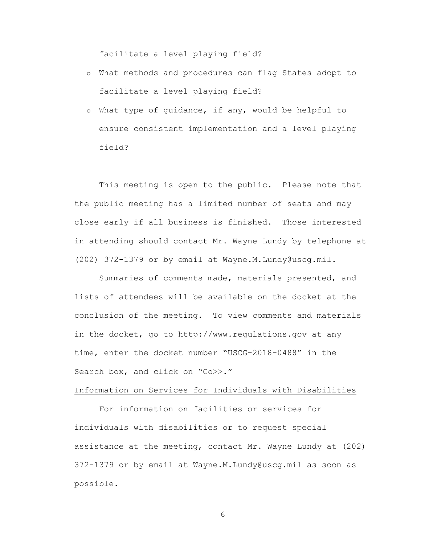facilitate a level playing field?

- o What methods and procedures can flag States adopt to facilitate a level playing field?
- o What type of guidance, if any, would be helpful to ensure consistent implementation and a level playing field?

This meeting is open to the public. Please note that the public meeting has a limited number of seats and may close early if all business is finished. Those interested in attending should contact Mr. Wayne Lundy by telephone at (202) 372-1379 or by email at Wayne.M.Lundy@uscg.mil.

Summaries of comments made, materials presented, and lists of attendees will be available on the docket at the conclusion of the meeting. To view comments and materials in the docket, go to http://www.regulations.gov at any time, enter the docket number "USCG-2018-0488" in the Search box, and click on "Go>>."

## Information on Services for Individuals with Disabilities

For information on facilities or services for individuals with disabilities or to request special assistance at the meeting, contact Mr. Wayne Lundy at (202) 372-1379 or by email at Wayne.M.Lundy@uscg.mil as soon as possible.